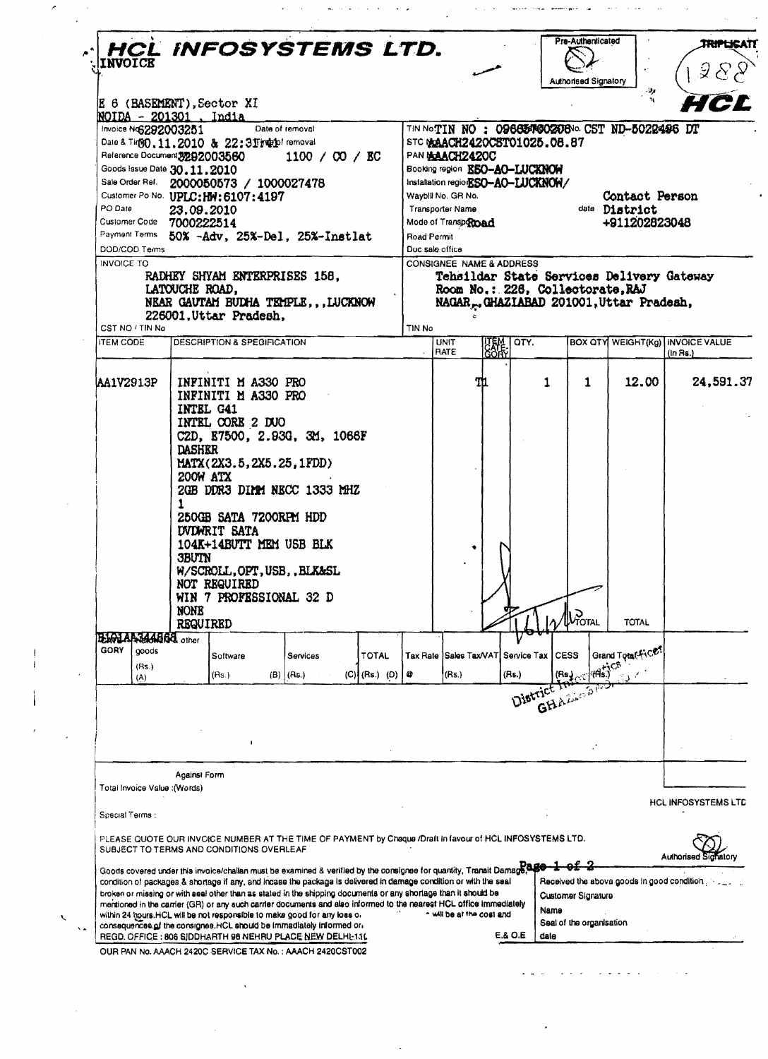|                                                                                                   |                 |                                            |                                                                                                                                                                                                                                                  | <b>HCL INFOSYSTEMS LTD.</b>                           |                                        |                                                                                  |                    | Pre-Authenticated           |                                             | <b>TRIPLICATT</b>                         |
|---------------------------------------------------------------------------------------------------|-----------------|--------------------------------------------|--------------------------------------------------------------------------------------------------------------------------------------------------------------------------------------------------------------------------------------------------|-------------------------------------------------------|----------------------------------------|----------------------------------------------------------------------------------|--------------------|-----------------------------|---------------------------------------------|-------------------------------------------|
| <b>INVOICE</b>                                                                                    |                 |                                            |                                                                                                                                                                                                                                                  |                                                       |                                        |                                                                                  |                    | <b>Authorised Signatory</b> |                                             |                                           |
| E 6 (BASEMENT), Sector XI                                                                         |                 |                                            |                                                                                                                                                                                                                                                  |                                                       |                                        |                                                                                  |                    |                             | -91                                         |                                           |
| NOIDA - 201301 , India                                                                            |                 |                                            |                                                                                                                                                                                                                                                  |                                                       |                                        |                                                                                  |                    |                             |                                             |                                           |
| Invoice NG292003251                                                                               |                 |                                            | Date of removal                                                                                                                                                                                                                                  |                                                       |                                        | TIN NOTIN NO: 0966501600200800. CST ND-5022496 DT<br>STC MAACH2420CST01025.08.87 |                    |                             |                                             |                                           |
| Date & Tir80, 11, 2010 & 22:31 report removal<br>Reference Document 3292003560<br>1100 / 00 / 50  |                 |                                            |                                                                                                                                                                                                                                                  |                                                       | PAN VAACH2420C                         |                                                                                  |                    |                             |                                             |                                           |
| Goods Issue Date 30.11.2010                                                                       |                 |                                            |                                                                                                                                                                                                                                                  |                                                       |                                        | Booking region E50-A0-LUCKNOW                                                    |                    |                             |                                             |                                           |
|                                                                                                   |                 | Sale Order Ref. 2000050573 / 1000027478    |                                                                                                                                                                                                                                                  |                                                       |                                        | Installation regio ESO-AO-LUCKNOW/                                               |                    |                             |                                             |                                           |
|                                                                                                   |                 | Customer Po No. UPLC:HW: 6107:4197         |                                                                                                                                                                                                                                                  |                                                       | Waybill No. GR No.<br>Transporter Name |                                                                                  |                    |                             | Contact Person                              |                                           |
| PO Date<br>23.09.2010<br>Customer Code 7000222514<br>Payment Terms 50% -Adv, 25%-Del, 25%-Instlat |                 |                                            |                                                                                                                                                                                                                                                  |                                                       | date District                          |                                                                                  |                    |                             |                                             |                                           |
|                                                                                                   |                 |                                            |                                                                                                                                                                                                                                                  | Mode of Transporto ad<br>+911202823048<br>Road Permit |                                        |                                                                                  |                    |                             |                                             |                                           |
| DOD/COD Terms                                                                                     |                 |                                            |                                                                                                                                                                                                                                                  |                                                       | Doc sale office                        |                                                                                  |                    |                             |                                             |                                           |
| <b>INVOICE TO</b>                                                                                 |                 |                                            |                                                                                                                                                                                                                                                  |                                                       |                                        | CONSIGNEE NAME & ADDRESS                                                         |                    |                             |                                             |                                           |
|                                                                                                   | LATOUCHE ROAD,  | RADHEY SHYAM ENTERPRISES 158,              |                                                                                                                                                                                                                                                  |                                                       |                                        | Room No.: 226, Collectorate, RAJ                                                 |                    |                             |                                             | Tehsildar State Services Delivery Gateway |
|                                                                                                   |                 |                                            | NEAR GAUTAM BUDHA TEMPLE, , LUCKNOW                                                                                                                                                                                                              |                                                       |                                        | NAGAR, GHAZIABAD 201001, Uttar Pradesh,                                          |                    |                             |                                             |                                           |
|                                                                                                   |                 | 226001, Uttar Pradesh,                     |                                                                                                                                                                                                                                                  |                                                       |                                        |                                                                                  |                    |                             |                                             |                                           |
| CST NO / TIN No<br><b>ITEM CODE</b>                                                               |                 | DESCRIPTION & SPECIFICATION                |                                                                                                                                                                                                                                                  | TIN No                                                | <b>UNIT</b>                            |                                                                                  | OTY.               |                             |                                             | <b>BOX OTY WEIGHT(Kg) INVOICE VALUE</b>   |
|                                                                                                   |                 |                                            |                                                                                                                                                                                                                                                  |                                                       | <b>RATE</b>                            | <b>LTEM</b><br>GORY                                                              |                    |                             |                                             | $(ln$ Rs. $)$                             |
|                                                                                                   |                 |                                            |                                                                                                                                                                                                                                                  |                                                       |                                        |                                                                                  |                    |                             |                                             |                                           |
| <b>AA1V2913P</b>                                                                                  |                 | INFINITI M A330 PRO<br>INFINITI M A330 PRO |                                                                                                                                                                                                                                                  |                                                       |                                        | TU                                                                               | 1                  | 1                           | 12.00                                       | 24,591.37                                 |
|                                                                                                   | INTEL G41       |                                            |                                                                                                                                                                                                                                                  |                                                       |                                        |                                                                                  |                    |                             |                                             |                                           |
|                                                                                                   |                 | INTEL OORE 2 DUO                           |                                                                                                                                                                                                                                                  |                                                       |                                        |                                                                                  |                    |                             |                                             |                                           |
|                                                                                                   |                 |                                            | C2D, E7500, 2.93G, 3M, 1066F                                                                                                                                                                                                                     |                                                       |                                        |                                                                                  |                    |                             |                                             |                                           |
|                                                                                                   | <b>DASHER</b>   |                                            |                                                                                                                                                                                                                                                  |                                                       |                                        |                                                                                  |                    |                             |                                             |                                           |
|                                                                                                   | 200W ATX        | MATX(2X3.5,2X5.25,1FDD)                    |                                                                                                                                                                                                                                                  |                                                       |                                        |                                                                                  |                    |                             |                                             |                                           |
|                                                                                                   |                 |                                            | 2GB DDR3 DIMM NECC 1333 MHZ                                                                                                                                                                                                                      |                                                       |                                        |                                                                                  |                    |                             |                                             |                                           |
|                                                                                                   | 1               |                                            |                                                                                                                                                                                                                                                  |                                                       |                                        |                                                                                  |                    |                             |                                             |                                           |
|                                                                                                   |                 | 250GB SATA 7200RPM HDD                     |                                                                                                                                                                                                                                                  |                                                       |                                        |                                                                                  |                    |                             |                                             |                                           |
|                                                                                                   |                 | <b>DVDWRIT SATA</b>                        |                                                                                                                                                                                                                                                  |                                                       |                                        |                                                                                  |                    |                             |                                             |                                           |
|                                                                                                   |                 |                                            |                                                                                                                                                                                                                                                  |                                                       |                                        |                                                                                  |                    |                             |                                             |                                           |
|                                                                                                   |                 | 104K+14BUTT MEM USB BLK                    |                                                                                                                                                                                                                                                  |                                                       |                                        |                                                                                  |                    |                             |                                             |                                           |
|                                                                                                   | <b>3BUTN</b>    | W/SCROLL, OPT, USB, , BLK&SL               |                                                                                                                                                                                                                                                  |                                                       |                                        |                                                                                  |                    |                             |                                             |                                           |
|                                                                                                   |                 | NOT REQUIRED                               |                                                                                                                                                                                                                                                  |                                                       |                                        |                                                                                  |                    |                             |                                             |                                           |
|                                                                                                   |                 | WIN 7 PROFESSIONAL 32 D                    |                                                                                                                                                                                                                                                  |                                                       |                                        |                                                                                  |                    |                             |                                             |                                           |
|                                                                                                   | <b>NONE</b>     |                                            |                                                                                                                                                                                                                                                  |                                                       |                                        |                                                                                  |                    | TOTAL                       | <b>TOTAL</b>                                |                                           |
|                                                                                                   | <b>REQUIRED</b> |                                            |                                                                                                                                                                                                                                                  |                                                       |                                        |                                                                                  |                    |                             |                                             |                                           |
| <b>GORY</b><br>qoods                                                                              |                 | Software                                   | Services                                                                                                                                                                                                                                         | <b>TOTAL</b>                                          | Tax Rate Sales Tax/VAT                 |                                                                                  | Service Tax   CESS |                             |                                             |                                           |
| (Rs.)                                                                                             |                 | (Rs.)<br>(B)                               |                                                                                                                                                                                                                                                  |                                                       |                                        |                                                                                  |                    |                             | Grand Total fice?                           |                                           |
| (A)                                                                                               |                 |                                            | (Rs.)                                                                                                                                                                                                                                            | $(C)$ (Rs.) $(D)$ $\phi$                              | (Rs.)                                  | (Rs.)                                                                            |                    | (Rs) (Rd)                   |                                             |                                           |
|                                                                                                   |                 |                                            |                                                                                                                                                                                                                                                  |                                                       |                                        |                                                                                  |                    |                             |                                             |                                           |
|                                                                                                   |                 |                                            |                                                                                                                                                                                                                                                  |                                                       |                                        |                                                                                  | District Webst     |                             |                                             |                                           |
|                                                                                                   |                 |                                            |                                                                                                                                                                                                                                                  |                                                       |                                        |                                                                                  |                    |                             |                                             |                                           |
|                                                                                                   |                 |                                            |                                                                                                                                                                                                                                                  |                                                       |                                        |                                                                                  |                    |                             |                                             |                                           |
|                                                                                                   | Against Form    |                                            |                                                                                                                                                                                                                                                  |                                                       |                                        |                                                                                  |                    |                             |                                             |                                           |
|                                                                                                   |                 |                                            |                                                                                                                                                                                                                                                  |                                                       |                                        |                                                                                  |                    |                             |                                             |                                           |
|                                                                                                   |                 |                                            |                                                                                                                                                                                                                                                  |                                                       |                                        |                                                                                  |                    |                             |                                             |                                           |
| Total Invoice Value : (Words)                                                                     |                 |                                            |                                                                                                                                                                                                                                                  |                                                       |                                        |                                                                                  |                    |                             |                                             |                                           |
|                                                                                                   |                 |                                            | PLEASE QUOTE OUR INVOICE NUMBER AT THE TIME OF PAYMENT by Chaque /Draft in favour of HCL INFOSYSTEMS LTD.                                                                                                                                        |                                                       |                                        |                                                                                  |                    |                             |                                             |                                           |
|                                                                                                   |                 | SUBJECT TO TERMS AND CONDITIONS OVERLEAF   |                                                                                                                                                                                                                                                  |                                                       |                                        |                                                                                  |                    |                             |                                             | Authorised                                |
| BLOJAA344868 other<br>Special Terms :                                                             |                 |                                            |                                                                                                                                                                                                                                                  |                                                       |                                        |                                                                                  |                    |                             |                                             |                                           |
|                                                                                                   |                 |                                            | Goods covered under this invoice/challan must be examined & verified by the consignee for quantity, Transit Damage, 4-02-2-<br>condition of packages & shortage if any, and incase the package is delivered in damage condition or with the seal |                                                       |                                        |                                                                                  |                    |                             | Received the abova goods in good condition. |                                           |
|                                                                                                   |                 |                                            | broken or missing or with seal other than as stated in the shipping documents or any shortage than it should be<br>mentioned in the carrier (GR) or any such carrier documents and also informed to the nearest HCL office immediately           |                                                       |                                        |                                                                                  |                    | Customer Signature          |                                             |                                           |
|                                                                                                   |                 |                                            | within 24 tours.HCL will be not responsible to make good for any loss of                                                                                                                                                                         |                                                       |                                        | ~ will be at the cost and                                                        | Name               |                             |                                             | <b>HCL INFOSYSTEMS LTD</b>                |
|                                                                                                   |                 |                                            | consequences of the consignee.HCL should be immediately informed on<br>REGD, OFFICE: 806 SIDDHARTH 98 NEHRU PLACE NEW DELHE114.                                                                                                                  |                                                       |                                        | E.& O.E                                                                          | date               | Seal of the organisation    |                                             |                                           |

 $\ddot{\phantom{a}}$ 

 $\mathcal{L}^{\text{max}}_{\text{max}}$  , where  $\mathcal{L}^{\text{max}}_{\text{max}}$ 

 $\ddot{\phantom{a}}$ 

 $\bar{\gamma}$ 

 $\sim$ 

 $\hat{\vec{r}}$ 

 $\omega_{\rm{max}}$ 

 $\hat{\mathcal{L}}(\hat{\mathbf{z}})$ 

 $\frac{1}{2}$ 

 $\hat{\lambda}$  and  $\hat{\lambda}$ 

 $\label{eq:1} \frac{\mathbf{u}_{\text{P}}(\mathbf{x},\mathbf{y},\mathbf{y})}{\|\mathbf{u}_{\text{P}}(\mathbf{x},\mathbf{y})\|^{2}}\leq \frac{\mathbf{u}_{\text{P}}(\mathbf{x},\mathbf{y},\mathbf{y})}{\|\mathbf{u}_{\text{P}}(\mathbf{y},\mathbf{y})\|^{2}}\leq \frac{1}{\sqrt{2}}\mathbf{u}_{\text{P}}(\mathbf{y},\mathbf{y})$ 

 $\sim$   $\sim$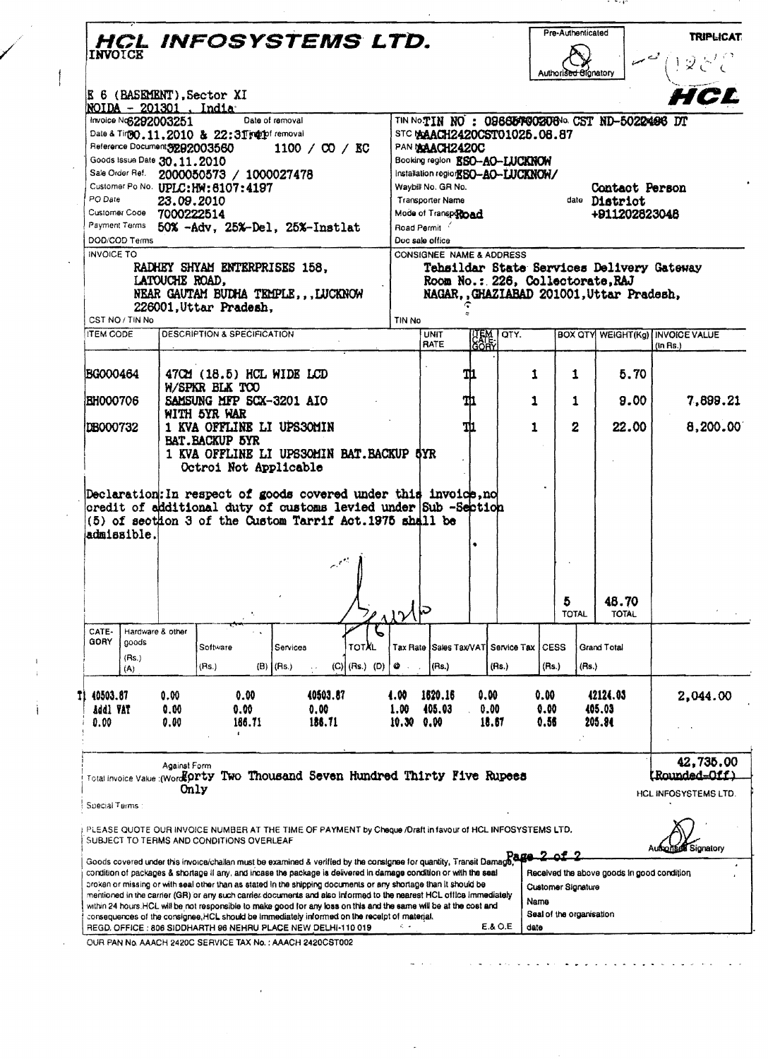|                                                                                                                                                                                                      |                                 |                                                                | <b>HCL INFOSYSTEMS LTD.</b>                                                                                                      |                                                                                                                                                                                             |                       |                      | Pre-Authenticated                             | <b>TRIPLICAT</b><br>ى                              |  |
|------------------------------------------------------------------------------------------------------------------------------------------------------------------------------------------------------|---------------------------------|----------------------------------------------------------------|----------------------------------------------------------------------------------------------------------------------------------|---------------------------------------------------------------------------------------------------------------------------------------------------------------------------------------------|-----------------------|----------------------|-----------------------------------------------|----------------------------------------------------|--|
| E 6 (BASEMENT), Sector XI                                                                                                                                                                            |                                 |                                                                |                                                                                                                                  |                                                                                                                                                                                             |                       | Authorised Signatory |                                               | HCL                                                |  |
| NOIDA - 201301 . India<br>Invoice No6292003251                                                                                                                                                       |                                 | Date of removal<br>Date & Tir80.11.2010 & 22:31 report removal |                                                                                                                                  | STC MAACH2420CST01025.06.87                                                                                                                                                                 |                       |                      | TIN NOTIN NO: 0966576020810 CST ND-5022496 DT |                                                    |  |
| Reference Document 3292003560<br>Goods Issue Date 30.11.2010                                                                                                                                         |                                 |                                                                | 1100 / $\infty$ / EC                                                                                                             | PAN MAACH2420C<br>Booking region ESO-AO-LUCKNOW                                                                                                                                             |                       |                      |                                               |                                                    |  |
| Sale Order Ref. 2000050573 / 1000027478<br>Customer Po No. UPLC: HW: 6107:4197<br>PO Date<br>23.09.2010<br>Customer Code 7000222514<br>Payment Terms 50% -Adv, 25%-Del, 25%-Instlat<br>DOD/COD Terms |                                 |                                                                |                                                                                                                                  | Installation regiorESO-AO-LUCKNOW/<br>Waybill No. GR No.<br>Contact Person<br>Transporter Name<br>date District<br>Mode of Transporto ad<br>+911202823048<br>Road Permit<br>Doc sale office |                       |                      |                                               |                                                    |  |
|                                                                                                                                                                                                      |                                 |                                                                |                                                                                                                                  |                                                                                                                                                                                             |                       |                      |                                               |                                                    |  |
| CST NO / TIN No<br><b>ITEM CODE</b>                                                                                                                                                                  |                                 | <b>DESCRIPTION &amp; SPECIFICATION</b>                         |                                                                                                                                  | TIN No<br><b>UNIT</b><br><b>RATE</b>                                                                                                                                                        | l aty.<br><b>CANE</b> |                      |                                               | <b>BOX OTY WEIGHT(Kg) INVOICE VALUE</b>            |  |
| BG000464                                                                                                                                                                                             |                                 | 47CM (18.5) HCL WIDE LCD                                       |                                                                                                                                  |                                                                                                                                                                                             | T1                    | 1<br>1               | 5.70                                          | $(In$ Rs. $)$                                      |  |
| <b>BH000706</b>                                                                                                                                                                                      | W/SPKR BLK TOO                  | SAMSUNG MFP SCX-3201 AIO                                       |                                                                                                                                  |                                                                                                                                                                                             | TП                    | 1<br>1               | 9.00                                          | 7,899.21                                           |  |
| <b>DB000732</b>                                                                                                                                                                                      | WITH 5YR WAR<br>BAT. BACKUP 5YR | 1 KVA OFFLINE LI UPS30MIN                                      |                                                                                                                                  |                                                                                                                                                                                             | T1                    | $\mathbf{2}$<br>1    | 22.00                                         | 8,200.00                                           |  |
|                                                                                                                                                                                                      |                                 |                                                                | Declaration: In respect of goods covered under this invoice, no<br>credit of additional duty of customs levied under Sub-Section |                                                                                                                                                                                             |                       |                      |                                               |                                                    |  |
| admissible.                                                                                                                                                                                          |                                 |                                                                | (5) of section 3 of the Custom Tarrif Act.1975 shall be<br>$\sim$ 1                                                              |                                                                                                                                                                                             | ٠                     | 5                    | 48.70                                         |                                                    |  |
| CATE-<br>GORY<br>goods                                                                                                                                                                               | Hardware & other                |                                                                |                                                                                                                                  |                                                                                                                                                                                             |                       | <b>TOTAL</b>         | <b>TOTAL</b>                                  |                                                    |  |
| (Rs.)<br>(A)                                                                                                                                                                                         | (Rs.)                           | Software<br>(B)   (Rs.)                                        | Services<br>TOTAL<br>$(C)$ (Rs.) (D)                                                                                             | Tax Rate Sales Tax/VAT Service Tax CESS<br>٥<br>(Rs.)                                                                                                                                       | (Hs.)                 | (Rs.)                | Grand Total<br>(Rs.)                          |                                                    |  |
| 40503.87<br>Addl VAT                                                                                                                                                                                 | 0.00<br>0.00                    | 0.00<br>0.00                                                   | 40503.87<br>0.00                                                                                                                 | 1620.16<br>4.00<br>1.00<br>405.03                                                                                                                                                           | 0.00<br>0.00          | 0.00<br>0.00         | 42124.03<br>405.03                            | 2,044.00                                           |  |
| 0.00                                                                                                                                                                                                 | 0.00                            | 166.71                                                         | 186.71                                                                                                                           | 10.30<br>0.00                                                                                                                                                                               | 18.67                 | 0.56                 | 205.94                                        |                                                    |  |
|                                                                                                                                                                                                      | Against Form                    |                                                                | Total invoice Value :(Word Orty Two Thousand Seven Hundred Thirty Five Rupees                                                    |                                                                                                                                                                                             |                       |                      |                                               |                                                    |  |
| Special Terms                                                                                                                                                                                        | Only                            |                                                                | PLEASE QUOTE OUR INVOICE NUMBER AT THE TIME OF PAYMENT by Chaque /Draft in favour of HCL INFOSYSTEMS LTD.                        |                                                                                                                                                                                             |                       |                      |                                               | 42,735.00<br>(Rounded-Off)<br>HCL INFOSYSTEMS LTD. |  |
|                                                                                                                                                                                                      |                                 | SUBJECT TO TERMS AND CONDITIONS OVERLEAF                       | Goods covered under this invoice/challan must be examined & verified by the consignee for quantity, Transit Damage, 2 of 2       |                                                                                                                                                                                             |                       |                      |                                               | <b>Bignatory</b>                                   |  |

 $\sim$ 

 $\alpha_{\rm{eff}}$